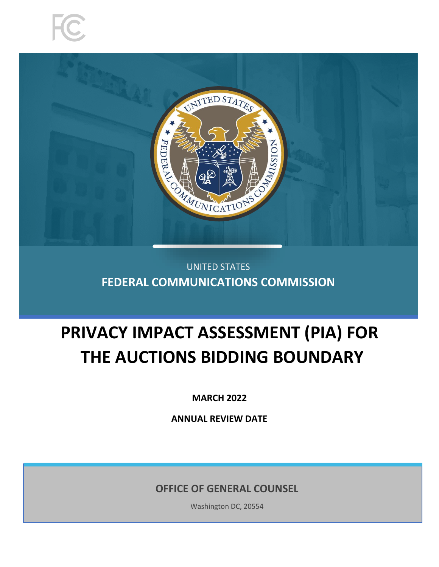



# UNITED STATES **FEDERAL COMMUNICATIONS COMMISSION**

# **PRIVACY IMPACT ASSESSMENT (PIA) FOR THE AUCTIONS BIDDING BOUNDARY**

**MARCH 2022**

**ANNUAL REVIEW DATE**

**OFFICE OF GENERAL COUNSEL**

Washington DC, 20554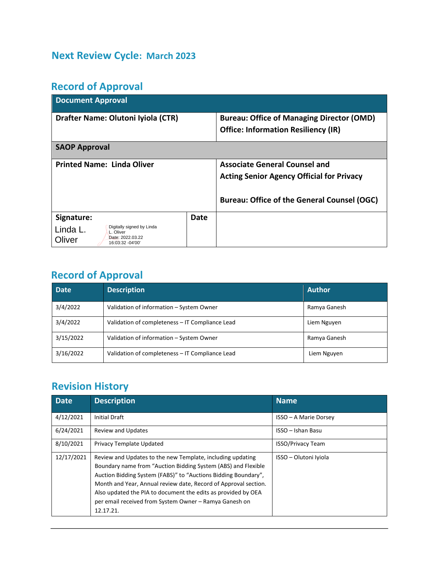# **Next Review Cycle: March 2023**

# **Record of Approval**

| <b>Document Approval</b>                                                                             |      |                                                    |  |  |  |
|------------------------------------------------------------------------------------------------------|------|----------------------------------------------------|--|--|--|
| Drafter Name: Olutoni Iyiola (CTR)                                                                   |      | <b>Bureau: Office of Managing Director (OMD)</b>   |  |  |  |
|                                                                                                      |      | <b>Office: Information Resiliency (IR)</b>         |  |  |  |
| <b>SAOP Approval</b>                                                                                 |      |                                                    |  |  |  |
| <b>Printed Name: Linda Oliver</b>                                                                    |      | <b>Associate General Counsel and</b>               |  |  |  |
|                                                                                                      |      | <b>Acting Senior Agency Official for Privacy</b>   |  |  |  |
|                                                                                                      |      | <b>Bureau: Office of the General Counsel (OGC)</b> |  |  |  |
| Signature:                                                                                           | Date |                                                    |  |  |  |
| Digitally signed by Linda<br>Linda L.<br>L. Oliver<br>Date: 2022.03.22<br>Oliver<br>16:03:32 -04'00' |      |                                                    |  |  |  |

# **Record of Approval**

| <b>Date</b> | <b>Description</b>                              | <b>Author</b> |
|-------------|-------------------------------------------------|---------------|
| 3/4/2022    | Validation of information - System Owner        | Ramya Ganesh  |
| 3/4/2022    | Validation of completeness - IT Compliance Lead | Liem Nguyen   |
| 3/15/2022   | Validation of information - System Owner        | Ramya Ganesh  |
| 3/16/2022   | Validation of completeness - IT Compliance Lead | Liem Nguyen   |

# **Revision History**

| <b>Date</b> | <b>Description</b>                                                                                                                                                                                                                                                                                                                                                                                       | Name                     |
|-------------|----------------------------------------------------------------------------------------------------------------------------------------------------------------------------------------------------------------------------------------------------------------------------------------------------------------------------------------------------------------------------------------------------------|--------------------------|
| 4/12/2021   | <b>Initial Draft</b>                                                                                                                                                                                                                                                                                                                                                                                     | ISSO - A Marie Dorsey    |
| 6/24/2021   | <b>Review and Updates</b>                                                                                                                                                                                                                                                                                                                                                                                | ISSO - Ishan Basu        |
| 8/10/2021   | Privacy Template Updated                                                                                                                                                                                                                                                                                                                                                                                 | <b>ISSO/Privacy Team</b> |
| 12/17/2021  | Review and Updates to the new Template, including updating<br>Boundary name from "Auction Bidding System (ABS) and Flexible<br>Auction Bidding System (FABS)" to "Auctions Bidding Boundary",<br>Month and Year, Annual review date, Record of Approval section.<br>Also updated the PIA to document the edits as provided by OEA<br>per email received from System Owner - Ramya Ganesh on<br>12.17.21. | ISSO - Olutoni Iviola    |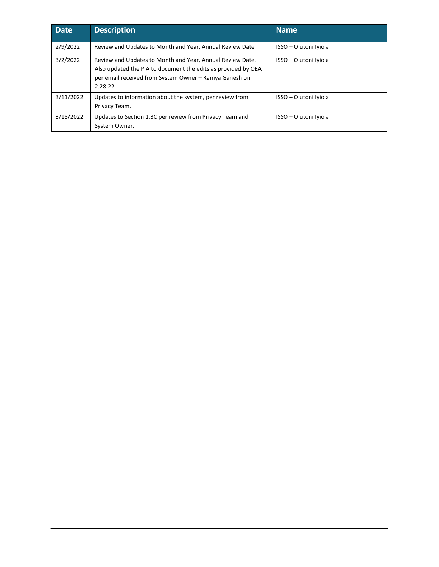| <b>Date</b> | <b>Description</b>                                                                                                                                                                               | <b>Name</b>           |
|-------------|--------------------------------------------------------------------------------------------------------------------------------------------------------------------------------------------------|-----------------------|
| 2/9/2022    | Review and Updates to Month and Year, Annual Review Date                                                                                                                                         | ISSO - Olutoni Iviola |
| 3/2/2022    | Review and Updates to Month and Year, Annual Review Date.<br>Also updated the PIA to document the edits as provided by OEA<br>per email received from System Owner - Ramya Ganesh on<br>2.28.22. | ISSO - Olutoni Iviola |
| 3/11/2022   | Updates to information about the system, per review from<br>Privacy Team.                                                                                                                        | ISSO - Olutoni Iviola |
| 3/15/2022   | Updates to Section 1.3C per review from Privacy Team and<br>System Owner.                                                                                                                        | ISSO - Olutoni Iviola |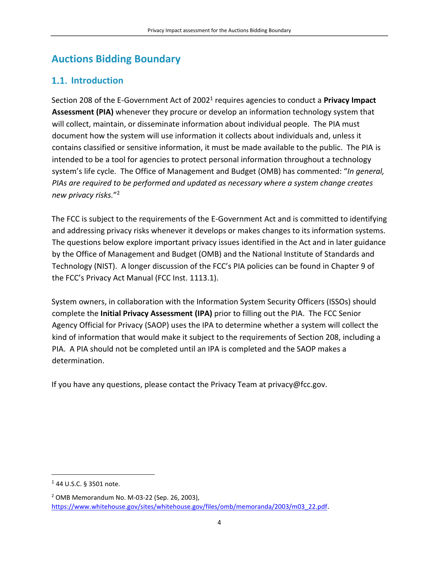# **Auctions Bidding Boundary**

# 1.1. Introduction

Section 208 of the E-Government Act of 2002<sup>1</sup> requires agencies to conduct a Privacy Impact **Assessment (PIA)** whenever they procure or develop an information technology system that will collect, maintain, or disseminate information about individual people. The PIA must document how the system will use information it collects about individuals and, unless it contains classified or sensitive information, it must be made available to the public. The PIA is intended to be a tool for agencies to protect personal information throughout a technology system's life cycle. The Office of Management and Budget (OMB) has commented: "*In general, PIAs are required to be performed and updated as necessary where a system change creates new privacy risks.*" 2

The FCC is subject to the requirements of the E-Government Act and is committed to identifying and addressing privacy risks whenever it develops or makes changes to its information systems. The questions below explore important privacy issues identified in the Act and in later guidance by the Office of Management and Budget (OMB) and the National Institute of Standards and Technology (NIST). A longer discussion of the FCC's PIA policies can be found in Chapter 9 of the FCC's Privacy Act Manual (FCC Inst. 1113.1).

System owners, in collaboration with the Information System Security Officers (ISSOs) should complete the **Initial Privacy Assessment (IPA)** prior to filling out the PIA. The FCC Senior Agency Official for Privacy (SAOP) uses the IPA to determine whether a system will collect the kind of information that would make it subject to the requirements of Section 208, including a PIA. A PIA should not be completed until an IPA is completed and the SAOP makes a determination.

If you have any questions, please contact the Privacy Team at privacy@fcc.gov.

<sup>1</sup> 44 U.S.C. § 3501 note.

<sup>2</sup> OMB Memorandum No. M-03-22 (Sep. 26, 2003), https://www.whitehouse.gov/sites/whitehouse.gov/files/omb/memoranda/2003/m03\_22.pdf.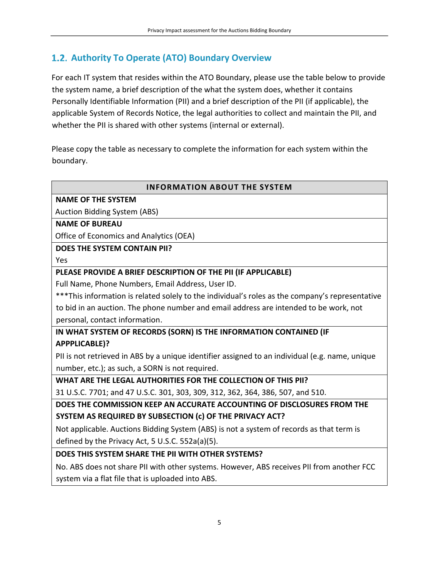# **Authority To Operate (ATO) Boundary Overview**

For each IT system that resides within the ATO Boundary, please use the table below to provide the system name, a brief description of the what the system does, whether it contains Personally Identifiable Information (PII) and a brief description of the PII (if applicable), the applicable System of Records Notice, the legal authorities to collect and maintain the PII, and whether the PII is shared with other systems (internal or external).

Please copy the table as necessary to complete the information for each system within the boundary.

#### **INFORMATION ABOUT THE SYSTEM**

### **NAME OF THE SYSTEM**

Auction Bidding System (ABS)

#### **NAME OF BUREAU**

Office of Economics and Analytics (OEA)

#### **DOES THE SYSTEM CONTAIN PII?**

Yes

#### **PLEASE PROVIDE A BRIEF DESCRIPTION OF THE PII (IF APPLICABLE)**

Full Name, Phone Numbers, Email Address, User ID.

\*\*\*This information is related solely to the individual's roles as the company's representative to bid in an auction. The phone number and email address are intended to be work, not personal, contact information.

### **IN WHAT SYSTEM OF RECORDS (SORN) IS THE INFORMATION CONTAINED (IF APPPLICABLE)?**

PII is not retrieved in ABS by a unique identifier assigned to an individual (e.g. name, unique number, etc.); as such, a SORN is not required.

**WHAT ARE THE LEGAL AUTHORITIES FOR THE COLLECTION OF THIS PII?**

31 U.S.C. 7701; and 47 U.S.C. 301, 303, 309, 312, 362, 364, 386, 507, and 510.

**DOES THE COMMISSION KEEP AN ACCURATE ACCOUNTING OF DISCLOSURES FROM THE SYSTEM AS REQUIRED BY SUBSECTION (c) OF THE PRIVACY ACT?**

Not applicable. Auctions Bidding System (ABS) is not a system of records as that term is defined by the Privacy Act, 5 U.S.C. 552a(a)(5).

#### **DOES THIS SYSTEM SHARE THE PII WITH OTHER SYSTEMS?**

No. ABS does not share PII with other systems. However, ABS receives PII from another FCC system via a flat file that is uploaded into ABS.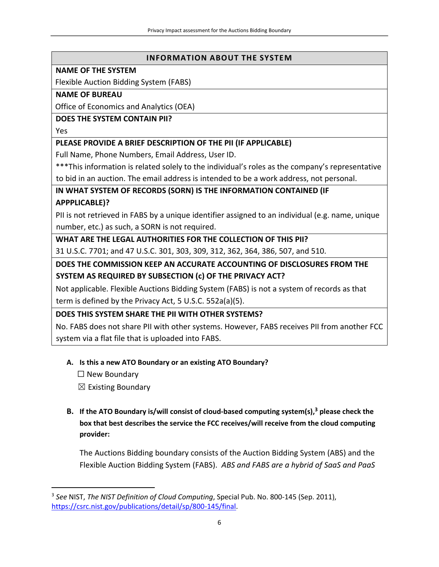#### **INFORMATION ABOUT THE SYSTEM**

#### **NAME OF THE SYSTEM**

Flexible Auction Bidding System (FABS)

#### **NAME OF BUREAU**

Office of Economics and Analytics (OEA)

#### **DOES THE SYSTEM CONTAIN PII?**

Yes

#### **PLEASE PROVIDE A BRIEF DESCRIPTION OF THE PII (IF APPLICABLE)**

Full Name, Phone Numbers, Email Address, User ID.

\*\*\*This information is related solely to the individual's roles as the company's representative to bid in an auction. The email address is intended to be a work address, not personal.

**IN WHAT SYSTEM OF RECORDS (SORN) IS THE INFORMATION CONTAINED (IF APPPLICABLE)?**

PII is not retrieved in FABS by a unique identifier assigned to an individual (e.g. name, unique number, etc.) as such, a SORN is not required.

**WHAT ARE THE LEGAL AUTHORITIES FOR THE COLLECTION OF THIS PII?** 31 U.S.C. 7701; and 47 U.S.C. 301, 303, 309, 312, 362, 364, 386, 507, and 510.

**DOES THE COMMISSION KEEP AN ACCURATE ACCOUNTING OF DISCLOSURES FROM THE SYSTEM AS REQUIRED BY SUBSECTION (c) OF THE PRIVACY ACT?**

Not applicable. Flexible Auctions Bidding System (FABS) is not a system of records as that term is defined by the Privacy Act, 5 U.S.C. 552a(a)(5).

#### **DOES THIS SYSTEM SHARE THE PII WITH OTHER SYSTEMS?**

No. FABS does not share PII with other systems. However, FABS receives PII from another FCC system via a flat file that is uploaded into FABS.

#### **A. Is this a new ATO Boundary or an existing ATO Boundary?**

☐ New Boundary

 $\boxtimes$  Existing Boundary

**B. If the ATO Boundary is/will consist of cloud-based computing system(s), <sup>3</sup> please check the box that best describes the service the FCC receives/will receive from the cloud computing provider:** 

The Auctions Bidding boundary consists of the Auction Bidding System (ABS) and the Flexible Auction Bidding System (FABS). *ABS and FABS are a hybrid of SaaS and PaaS* 

<sup>3</sup> *See* NIST, *The NIST Definition of Cloud Computing*, Special Pub. No. 800-145 (Sep. 2011), https://csrc.nist.gov/publications/detail/sp/800-145/final.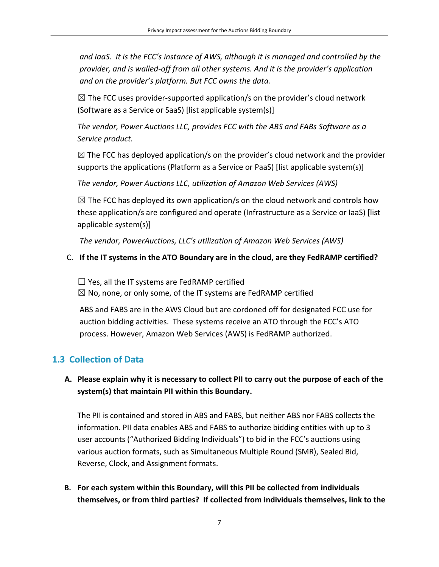*and IaaS. It is the FCC's instance of AWS, although it is managed and controlled by the provider, and is walled-off from all other systems. And it is the provider's application and on the provider's platform. But FCC owns the data.*

 $\boxtimes$  The FCC uses provider-supported application/s on the provider's cloud network (Software as a Service or SaaS) [list applicable system(s)]

*The vendor, Power Auctions LLC, provides FCC with the ABS and FABs Software as a Service product.*

 $\boxtimes$  The FCC has deployed application/s on the provider's cloud network and the provider supports the applications (Platform as a Service or PaaS) [list applicable system(s)]

*The vendor, Power Auctions LLC, utilization of Amazon Web Services (AWS)*

 $\boxtimes$  The FCC has deployed its own application/s on the cloud network and controls how these application/s are configured and operate (Infrastructure as a Service or IaaS) [list applicable system(s)]

*The vendor, PowerAuctions, LLC's utilization of Amazon Web Services (AWS)*

### C. **If the IT systems in the ATO Boundary are in the cloud, are they FedRAMP certified?**

 $\Box$  Yes, all the IT systems are FedRAMP certified

 $\boxtimes$  No, none, or only some, of the IT systems are FedRAMP certified

ABS and FABS are in the AWS Cloud but are cordoned off for designated FCC use for auction bidding activities. These systems receive an ATO through the FCC's ATO process. However, Amazon Web Services (AWS) is FedRAMP authorized.

# **1.3 Collection of Data**

# **A. Please explain why it is necessary to collect PII to carry out the purpose of each of the system(s) that maintain PII within this Boundary.**

The PII is contained and stored in ABS and FABS, but neither ABS nor FABS collects the information. PII data enables ABS and FABS to authorize bidding entities with up to 3 user accounts ("Authorized Bidding Individuals") to bid in the FCC's auctions using various auction formats, such as Simultaneous Multiple Round (SMR), Sealed Bid, Reverse, Clock, and Assignment formats.

**B. For each system within this Boundary, will this PII be collected from individuals themselves, or from third parties? If collected from individuals themselves, link to the**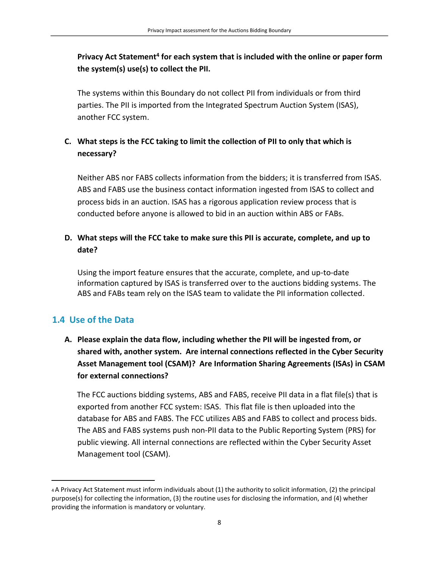**Privacy Act Statement<sup>4</sup> for each system that is included with the online or paper form the system(s) use(s) to collect the PII.** 

The systems within this Boundary do not collect PII from individuals or from third parties. The PII is imported from the Integrated Spectrum Auction System (ISAS), another FCC system.

# **C. What steps is the FCC taking to limit the collection of PII to only that which is necessary?**

Neither ABS nor FABS collects information from the bidders; it is transferred from ISAS. ABS and FABS use the business contact information ingested from ISAS to collect and process bids in an auction. ISAS has a rigorous application review process that is conducted before anyone is allowed to bid in an auction within ABS or FABs.

### **D. What steps will the FCC take to make sure this PII is accurate, complete, and up to date?**

Using the import feature ensures that the accurate, complete, and up-to-date information captured by ISAS is transferred over to the auctions bidding systems. The ABS and FABs team rely on the ISAS team to validate the PII information collected.

# **1.4 Use of the Data**

**A. Please explain the data flow, including whether the PII will be ingested from, or shared with, another system. Are internal connections reflected in the Cyber Security Asset Management tool (CSAM)? Are Information Sharing Agreements (ISAs) in CSAM for external connections?**

The FCC auctions bidding systems, ABS and FABS, receive PII data in a flat file(s) that is exported from another FCC system: ISAS. This flat file is then uploaded into the database for ABS and FABS. The FCC utilizes ABS and FABS to collect and process bids. The ABS and FABS systems push non-PII data to the Public Reporting System (PRS) for public viewing. All internal connections are reflected within the Cyber Security Asset Management tool (CSAM).

<sup>4</sup>A Privacy Act Statement must inform individuals about (1) the authority to solicit information, (2) the principal purpose(s) for collecting the information, (3) the routine uses for disclosing the information, and (4) whether providing the information is mandatory or voluntary.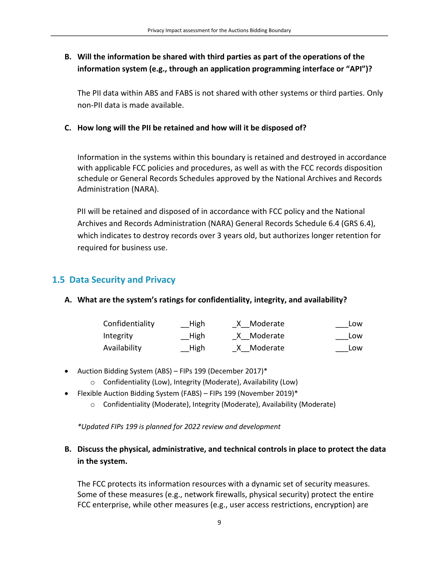# **B. Will the information be shared with third parties as part of the operations of the information system (e.g., through an application programming interface or "API")?**

The PII data within ABS and FABS is not shared with other systems or third parties. Only non-PII data is made available.

#### **C. How long will the PII be retained and how will it be disposed of?**

Information in the systems within this boundary is retained and destroyed in accordance with applicable FCC policies and procedures, as well as with the FCC records disposition schedule or General Records Schedules approved by the National Archives and Records Administration (NARA).

PII will be retained and disposed of in accordance with FCC policy and the National Archives and Records Administration (NARA) General Records Schedule 6.4 (GRS 6.4), which indicates to destroy records over 3 years old, but authorizes longer retention for required for business use.

# **1.5 Data Security and Privacy**

### **A. What are the system's ratings for confidentiality, integrity, and availability?**

| Confidentiality | High | X Moderate | Low |
|-----------------|------|------------|-----|
| Integrity       | High | X Moderate | Low |
| Availability    | High | X Moderate | Low |

- Auction Bidding System (ABS) FIPs 199 (December 2017)\*
	- o Confidentiality (Low), Integrity (Moderate), Availability (Low)
- Flexible Auction Bidding System (FABS) FIPs 199 (November 2019)\*
	- o Confidentiality (Moderate), Integrity (Moderate), Availability (Moderate)

*\*Updated FIPs 199 is planned for 2022 review and development*

### **B. Discuss the physical, administrative, and technical controls in place to protect the data in the system.**

The FCC protects its information resources with a dynamic set of security measures. Some of these measures (e.g., network firewalls, physical security) protect the entire FCC enterprise, while other measures (e.g., user access restrictions, encryption) are